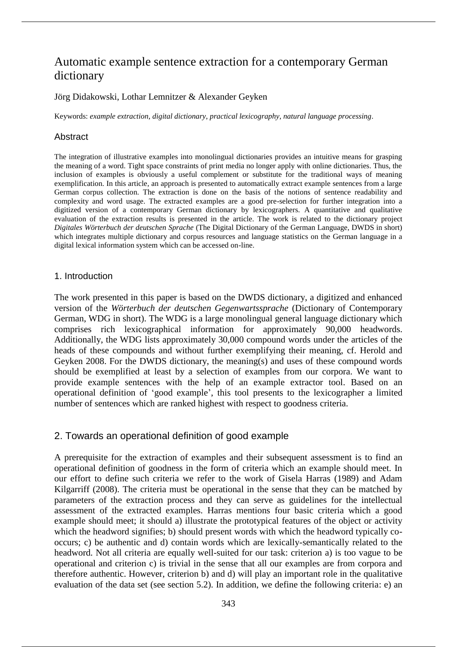# Automatic example sentence extraction for a contemporary German dictionary

## Jörg Didakowski, Lothar Lemnitzer & Alexander Geyken

Keywords: *example extraction*, *digital dictionary*, *practical lexicography*, *natural language processing*.

## Abstract

The integration of illustrative examples into monolingual dictionaries provides an intuitive means for grasping the meaning of a word. Tight space constraints of print media no longer apply with online dictionaries. Thus, the inclusion of examples is obviously a useful complement or substitute for the traditional ways of meaning exemplification. In this article, an approach is presented to automatically extract example sentences from a large German corpus collection. The extraction is done on the basis of the notions of sentence readability and complexity and word usage. The extracted examples are a good pre-selection for further integration into a digitized version of a contemporary German dictionary by lexicographers. A quantitative and qualitative evaluation of the extraction results is presented in the article. The work is related to the dictionary project *Digitales Wörterbuch der deutschen Sprache* (The Digital Dictionary of the German Language, DWDS in short) which integrates multiple dictionary and corpus resources and language statistics on the German language in a digital lexical information system which can be accessed on-line.

## 1. Introduction

The work presented in this paper is based on the DWDS dictionary, a digitized and enhanced version of the *Wörterbuch der deutschen Gegenwartssprache* (Dictionary of Contemporary German, WDG in short). The WDG is a large monolingual general language dictionary which comprises rich lexicographical information for approximately 90,000 headwords. Additionally, the WDG lists approximately 30,000 compound words under the articles of the heads of these compounds and without further exemplifying their meaning, cf. Herold and Geyken 2008. For the DWDS dictionary, the meaning(s) and uses of these compound words should be exemplified at least by a selection of examples from our corpora. We want to provide example sentences with the help of an example extractor tool. Based on an operational definition of 'good example', this tool presents to the lexicographer a limited number of sentences which are ranked highest with respect to goodness criteria.

# 2. Towards an operational definition of good example

A prerequisite for the extraction of examples and their subsequent assessment is to find an operational definition of goodness in the form of criteria which an example should meet. In our effort to define such criteria we refer to the work of Gisela Harras (1989) and Adam Kilgarriff (2008). The criteria must be operational in the sense that they can be matched by parameters of the extraction process and they can serve as guidelines for the intellectual assessment of the extracted examples. Harras mentions four basic criteria which a good example should meet; it should a) illustrate the prototypical features of the object or activity which the headword signifies; b) should present words with which the headword typically cooccurs; c) be authentic and d) contain words which are lexically-semantically related to the headword. Not all criteria are equally well-suited for our task: criterion a) is too vague to be operational and criterion c) is trivial in the sense that all our examples are from corpora and therefore authentic. However, criterion b) and d) will play an important role in the qualitative evaluation of the data set (see section 5.2). In addition, we define the following criteria: e) an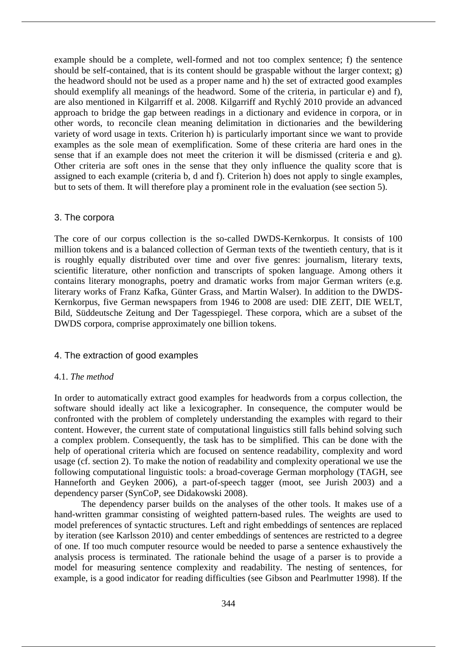example should be a complete, well-formed and not too complex sentence; f) the sentence should be self-contained, that is its content should be graspable without the larger context; g) the headword should not be used as a proper name and h) the set of extracted good examples should exemplify all meanings of the headword. Some of the criteria, in particular e) and f), are also mentioned in Kilgarriff et al. 2008. Kilgarriff and Rychlý 2010 provide an advanced approach to bridge the gap between readings in a dictionary and evidence in corpora, or in other words, to reconcile clean meaning delimitation in dictionaries and the bewildering variety of word usage in texts. Criterion h) is particularly important since we want to provide examples as the sole mean of exemplification. Some of these criteria are hard ones in the sense that if an example does not meet the criterion it will be dismissed (criteria e and g). Other criteria are soft ones in the sense that they only influence the quality score that is assigned to each example (criteria b, d and f). Criterion h) does not apply to single examples, but to sets of them. It will therefore play a prominent role in the evaluation (see section 5).

## 3. The corpora

The core of our corpus collection is the so-called DWDS-Kernkorpus. It consists of 100 million tokens and is a balanced collection of German texts of the twentieth century, that is it is roughly equally distributed over time and over five genres: journalism, literary texts, scientific literature, other nonfiction and transcripts of spoken language. Among others it contains literary monographs, poetry and dramatic works from major German writers (e.g. literary works of Franz Kafka, Günter Grass, and Martin Walser). In addition to the DWDS-Kernkorpus, five German newspapers from 1946 to 2008 are used: DIE ZEIT, DIE WELT, Bild, Süddeutsche Zeitung and Der Tagesspiegel. These corpora, which are a subset of the DWDS corpora, comprise approximately one billion tokens.

# 4. The extraction of good examples

# 4.1. *The method*

In order to automatically extract good examples for headwords from a corpus collection, the software should ideally act like a lexicographer. In consequence, the computer would be confronted with the problem of completely understanding the examples with regard to their content. However, the current state of computational linguistics still falls behind solving such a complex problem. Consequently, the task has to be simplified. This can be done with the help of operational criteria which are focused on sentence readability, complexity and word usage (cf. section 2). To make the notion of readability and complexity operational we use the following computational linguistic tools: a broad-coverage German morphology (TAGH, see Hanneforth and Geyken 2006), a part-of-speech tagger (moot, see Jurish 2003) and a dependency parser (SynCoP, see Didakowski 2008).

The dependency parser builds on the analyses of the other tools. It makes use of a hand-written grammar consisting of weighted pattern-based rules. The weights are used to model preferences of syntactic structures. Left and right embeddings of sentences are replaced by iteration (see Karlsson 2010) and center embeddings of sentences are restricted to a degree of one. If too much computer resource would be needed to parse a sentence exhaustively the analysis process is terminated. The rationale behind the usage of a parser is to provide a model for measuring sentence complexity and readability. The nesting of sentences, for example, is a good indicator for reading difficulties (see Gibson and Pearlmutter 1998). If the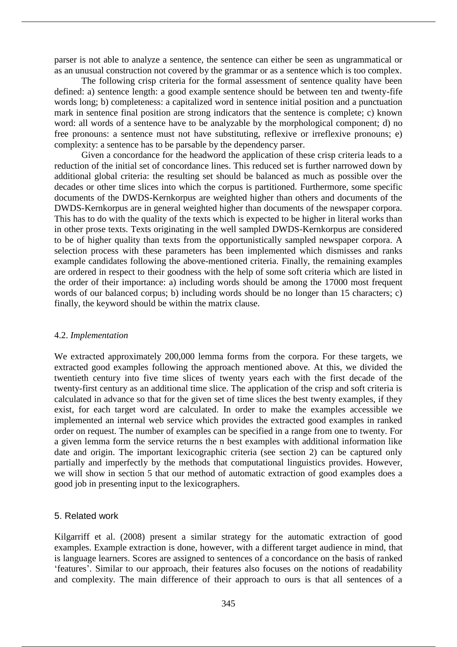parser is not able to analyze a sentence, the sentence can either be seen as ungrammatical or as an unusual construction not covered by the grammar or as a sentence which is too complex.

The following crisp criteria for the formal assessment of sentence quality have been defined: a) sentence length: a good example sentence should be between ten and twenty-fife words long; b) completeness: a capitalized word in sentence initial position and a punctuation mark in sentence final position are strong indicators that the sentence is complete; c) known word: all words of a sentence have to be analyzable by the morphological component; d) no free pronouns: a sentence must not have substituting, reflexive or irreflexive pronouns; e) complexity: a sentence has to be parsable by the dependency parser.

Given a concordance for the headword the application of these crisp criteria leads to a reduction of the initial set of concordance lines. This reduced set is further narrowed down by additional global criteria: the resulting set should be balanced as much as possible over the decades or other time slices into which the corpus is partitioned. Furthermore, some specific documents of the DWDS-Kernkorpus are weighted higher than others and documents of the DWDS-Kernkorpus are in general weighted higher than documents of the newspaper corpora. This has to do with the quality of the texts which is expected to be higher in literal works than in other prose texts. Texts originating in the well sampled DWDS-Kernkorpus are considered to be of higher quality than texts from the opportunistically sampled newspaper corpora. A selection process with these parameters has been implemented which dismisses and ranks example candidates following the above-mentioned criteria. Finally, the remaining examples are ordered in respect to their goodness with the help of some soft criteria which are listed in the order of their importance: a) including words should be among the 17000 most frequent words of our balanced corpus; b) including words should be no longer than 15 characters; c) finally, the keyword should be within the matrix clause.

## 4.2. *Implementation*

We extracted approximately 200,000 lemma forms from the corpora. For these targets, we extracted good examples following the approach mentioned above. At this, we divided the twentieth century into five time slices of twenty years each with the first decade of the twenty-first century as an additional time slice. The application of the crisp and soft criteria is calculated in advance so that for the given set of time slices the best twenty examples, if they exist, for each target word are calculated. In order to make the examples accessible we implemented an internal web service which provides the extracted good examples in ranked order on request. The number of examples can be specified in a range from one to twenty. For a given lemma form the service returns the n best examples with additional information like date and origin. The important lexicographic criteria (see section 2) can be captured only partially and imperfectly by the methods that computational linguistics provides. However, we will show in section 5 that our method of automatic extraction of good examples does a good job in presenting input to the lexicographers.

## 5. Related work

Kilgarriff et al. (2008) present a similar strategy for the automatic extraction of good examples. Example extraction is done, however, with a different target audience in mind, that is language learners. Scores are assigned to sentences of a concordance on the basis of ranked 'features'. Similar to our approach, their features also focuses on the notions of readability and complexity. The main difference of their approach to ours is that all sentences of a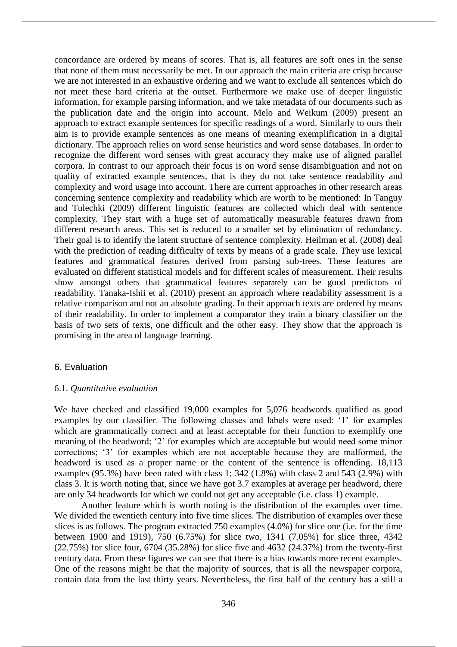concordance are ordered by means of scores. That is, all features are soft ones in the sense that none of them must necessarily be met. In our approach the main criteria are crisp because we are not interested in an exhaustive ordering and we want to exclude all sentences which do not meet these hard criteria at the outset. Furthermore we make use of deeper linguistic information, for example parsing information, and we take metadata of our documents such as the publication date and the origin into account. Melo and Weikum (2009) present an approach to extract example sentences for specific readings of a word. Similarly to ours their aim is to provide example sentences as one means of meaning exemplification in a digital dictionary. The approach relies on word sense heuristics and word sense databases. In order to recognize the different word senses with great accuracy they make use of aligned parallel corpora. In contrast to our approach their focus is on word sense disambiguation and not on quality of extracted example sentences, that is they do not take sentence readability and complexity and word usage into account. There are current approaches in other research areas concerning sentence complexity and readability which are worth to be mentioned: In Tanguy and Tulechki (2009) different linguistic features are collected which deal with sentence complexity. They start with a huge set of automatically measurable features drawn from different research areas. This set is reduced to a smaller set by elimination of redundancy. Their goal is to identify the latent structure of sentence complexity. Heilman et al. (2008) deal with the prediction of reading difficulty of texts by means of a grade scale. They use lexical features and grammatical features derived from parsing sub-trees. These features are evaluated on different statistical models and for different scales of measurement. Their results show amongst others that grammatical features separately can be good predictors of readability. Tanaka-Ishii et al. (2010) present an approach where readability assessment is a relative comparison and not an absolute grading. In their approach texts are ordered by means of their readability. In order to implement a comparator they train a binary classifier on the basis of two sets of texts, one difficult and the other easy. They show that the approach is promising in the area of language learning.

## 6. Evaluation

#### 6.1. *Quantitative evaluation*

We have checked and classified 19,000 examples for 5,076 headwords qualified as good examples by our classifier. The following classes and labels were used: '1' for examples which are grammatically correct and at least acceptable for their function to exemplify one meaning of the headword; '2' for examples which are acceptable but would need some minor corrections; '3' for examples which are not acceptable because they are malformed, the headword is used as a proper name or the content of the sentence is offending. 18,113 examples (95.3%) have been rated with class 1; 342 (1.8%) with class 2 and 543 (2.9%) with class 3. It is worth noting that, since we have got 3.7 examples at average per headword, there are only 34 headwords for which we could not get any acceptable (i.e. class 1) example.

Another feature which is worth noting is the distribution of the examples over time. We divided the twentieth century into five time slices. The distribution of examples over these slices is as follows. The program extracted 750 examples (4.0%) for slice one (i.e. for the time between 1900 and 1919), 750 (6.75%) for slice two, 1341 (7.05%) for slice three, 4342 (22.75%) for slice four, 6704 (35.28%) for slice five and 4632 (24.37%) from the twenty-first century data. From these figures we can see that there is a bias towards more recent examples. One of the reasons might be that the majority of sources, that is all the newspaper corpora, contain data from the last thirty years. Nevertheless, the first half of the century has a still a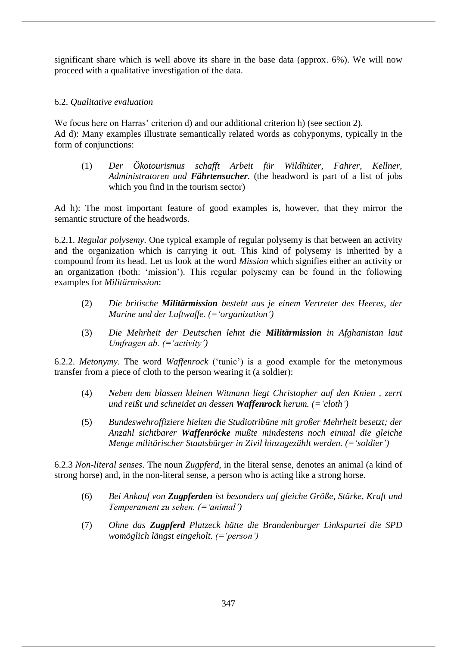significant share which is well above its share in the base data (approx. 6%). We will now proceed with a qualitative investigation of the data.

# 6.2. *Qualitative evaluation*

We focus here on Harras' criterion d) and our additional criterion h) (see section 2). Ad d): Many examples illustrate semantically related words as cohyponyms, typically in the form of conjunctions:

(1) *Der Ökotourismus schafft Arbeit für Wildhüter, Fahrer, Kellner, Administratoren und Fährtensucher.* (the headword is part of a list of jobs which you find in the tourism sector)

Ad h): The most important feature of good examples is, however, that they mirror the semantic structure of the headwords.

6.2.1. *Regular polysemy*. One typical example of regular polysemy is that between an activity and the organization which is carrying it out. This kind of polysemy is inherited by a compound from its head. Let us look at the word *Mission* which signifies either an activity or an organization (both: 'mission'). This regular polysemy can be found in the following examples for *Militärmission*:

- (2) *Die britische Militärmission besteht aus je einem Vertreter des Heeres, der Marine und der Luftwaffe. (='organization')*
- (3) *Die Mehrheit der Deutschen lehnt die Militärmission in Afghanistan laut Umfragen ab. (='activity')*

6.2.2. *Metonymy*. The word *Waffenrock* ('tunic') is a good example for the metonymous transfer from a piece of cloth to the person wearing it (a soldier):

- (4) *Neben dem blassen kleinen Witmann liegt Christopher auf den Knien , zerrt und reißt und schneidet an dessen Waffenrock herum. (='cloth')*
- (5) *Bundeswehroffiziere hielten die Studiotribüne mit großer Mehrheit besetzt; der Anzahl sichtbarer Waffenröcke mußte mindestens noch einmal die gleiche Menge militärischer Staatsbürger in Zivil hinzugezählt werden. (='soldier')*

6.2.3 *Non-literal senses*. The noun *Zugpferd*, in the literal sense, denotes an animal (a kind of strong horse) and, in the non-literal sense, a person who is acting like a strong horse.

- (6) *Bei Ankauf von Zugpferden ist besonders auf gleiche Größe, Stärke, Kraft und Temperament zu sehen. (='animal')*
- (7) *Ohne das Zugpferd Platzeck hätte die Brandenburger Linkspartei die SPD womöglich längst eingeholt. (='person')*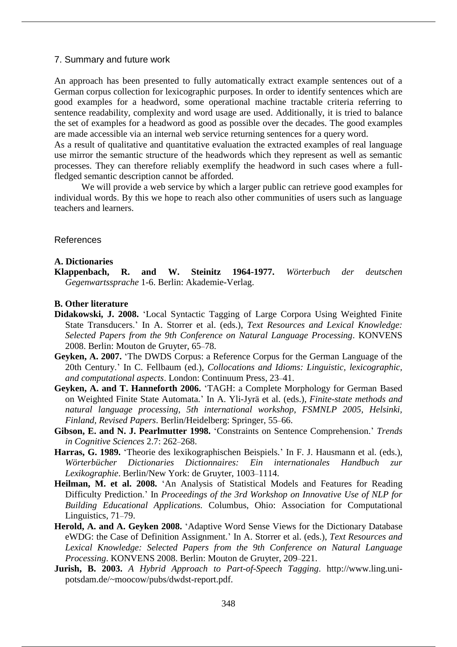#### 7. Summary and future work

An approach has been presented to fully automatically extract example sentences out of a German corpus collection for lexicographic purposes. In order to identify sentences which are good examples for a headword, some operational machine tractable criteria referring to sentence readability, complexity and word usage are used. Additionally, it is tried to balance the set of examples for a headword as good as possible over the decades. The good examples are made accessible via an internal web service returning sentences for a query word.

As a result of qualitative and quantitative evaluation the extracted examples of real language use mirror the semantic structure of the headwords which they represent as well as semantic processes. They can therefore reliably exemplify the headword in such cases where a fullfledged semantic description cannot be afforded.

We will provide a web service by which a larger public can retrieve good examples for individual words. By this we hope to reach also other communities of users such as language teachers and learners.

#### References

#### **A. Dictionaries**

**Klappenbach, R. and W. Steinitz 1964-1977.** *Wörterbuch der deutschen Gegenwartssprache* 1-6. Berlin: Akademie-Verlag.

#### **B. Other literature**

- **Didakowski, J. 2008.** 'Local Syntactic Tagging of Large Corpora Using Weighted Finite State Transducers.' In A. Storrer et al. (eds.), *Text Resources and Lexical Knowledge: Selected Papers from the 9th Conference on Natural Language Processing*. KONVENS 2008. Berlin: Mouton de Gruyter, 65–78.
- **Geyken, A. 2007.** 'The DWDS Corpus: a Reference Corpus for the German Language of the 20th Century.' In C. Fellbaum (ed.), *Collocations and Idioms: Linguistic, lexicographic, and computational aspects*. London: Continuum Press, 23–41.
- **Geyken, A. and T. Hanneforth 2006.** 'TAGH: a Complete Morphology for German Based on Weighted Finite State Automata.' In A. Yli-Jyrä et al. (eds.), *Finite-state methods and natural language processing, 5th international workshop, FSMNLP 2005, Helsinki, Finland, Revised Papers*. Berlin/Heidelberg: Springer, 55–66.
- **Gibson, E. and N. J. Pearlmutter 1998.** 'Constraints on Sentence Comprehension.' *Trends in Cognitive Sciences* 2.7: 262–268.
- **Harras, G. 1989.** 'Theorie des lexikographischen Beispiels.' In F. J. Hausmann et al. (eds.), *Wörterbücher Dictionaries Dictionnaires: Ein internationales Handbuch zur Lexikographie*. Berlin/New York: de Gruyter, 1003–1114.
- **Heilman, M. et al. 2008.** 'An Analysis of Statistical Models and Features for Reading Difficulty Prediction.' In *Proceedings of the 3rd Workshop on Innovative Use of NLP for Building Educational Applications.* Columbus, Ohio: Association for Computational Linguistics, 71–79.
- **Herold, A. and A. Geyken 2008.** 'Adaptive Word Sense Views for the Dictionary Database eWDG: the Case of Definition Assignment.' In A. Storrer et al. (eds.), *Text Resources and Lexical Knowledge: Selected Papers from the 9th Conference on Natural Language Processing*. KONVENS 2008. Berlin: Mouton de Gruyter, 209–221.
- **Jurish, B. 2003.** *A Hybrid Approach to Part-of-Speech Tagging*. http://www.ling.unipotsdam.de/~moocow/pubs/dwdst-report.pdf.